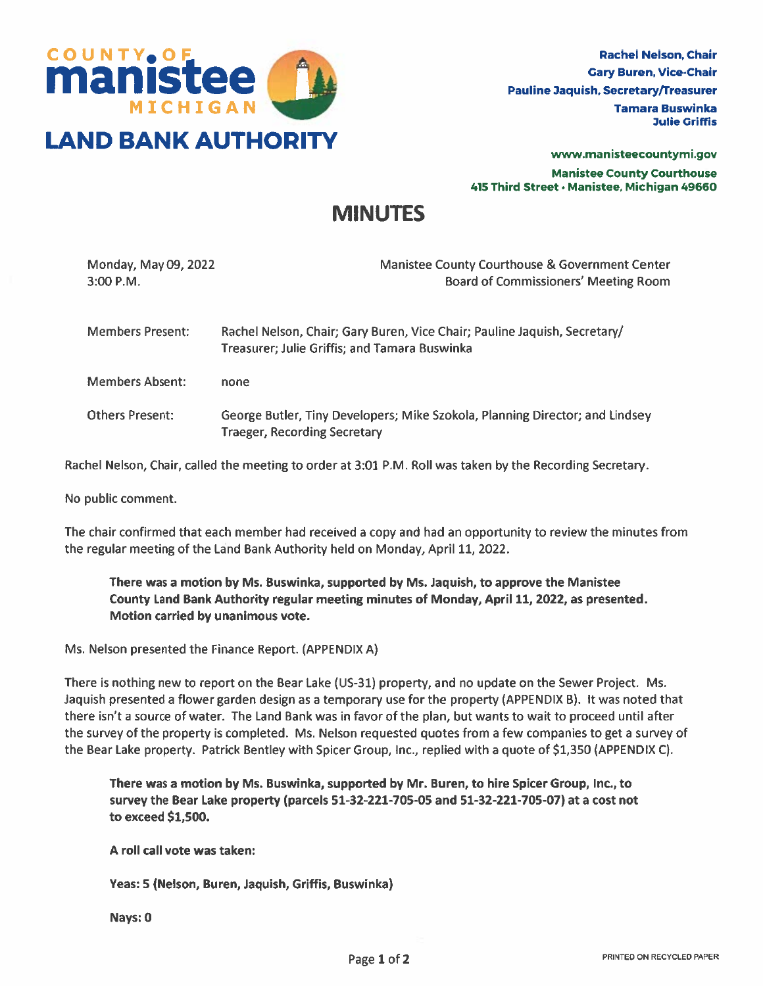

www.manisteecountymi.gov Manistee County Courthouse 415 Third Street• Manistee, Michigan 49660

# MINUTES

| Monday, May 09, 2022<br>$3:00$ P.M. | Manistee County Courthouse & Government Center<br><b>Board of Commissioners' Meeting Room</b>                              |
|-------------------------------------|----------------------------------------------------------------------------------------------------------------------------|
| <b>Members Present:</b>             | Rachel Nelson, Chair; Gary Buren, Vice Chair; Pauline Jaquish, Secretary/<br>Treasurer; Julie Griffis; and Tamara Buswinka |
| <b>Members Absent:</b>              | none                                                                                                                       |
| <b>Others Present:</b>              | George Butler, Tiny Developers; Mike Szokoła, Planning Director; and Lindsey<br><b>Traeger, Recording Secretary</b>        |

Rachel Nelson, Chair, called the meeting to order at 3:01 P.M. Roll was taken by the Recording Secretary.

No public comment.

The chair confirmed that each member had received <sup>a</sup> copy and had an opportunity to review the minutes from the regular meeting of the Land Bank Authority held on Monday, April 11, 2022.

There was <sup>a</sup> motion by Ms. Buswinka, supported by Ms. Jaquish, to approve the Manistee County Land Bank Authority regular meeting minutes of Monday, April 11, 2022, as presented. Motion carried by unanimous vote.

Ms. Nelson presented the Finance Report. (APPENDIX A)

There is nothing new to repor<sup>t</sup> on the Bear Lake (US-31) property, and no update on the Sewer Project. Ms. Jaquish presented <sup>a</sup> flower garden design as <sup>a</sup> temporary use for the property (APPENDIX B). It was noted that there isn't <sup>a</sup> source of water. The Land Bank was in favor of the plan, but wants to wait to proceed until after the survey of the property is completed. Ms. Nelson requested quotes from <sup>a</sup> few companies to ge<sup>t</sup> <sup>a</sup> survey of the Bear Lake property. Patrick Bentley with Spicer Group, Inc., replied with <sup>a</sup> quote of \$1,350 (APPENDIX C).

There was <sup>a</sup> motion by Ms. Buswinka, supported by Mr. Buren, to hire Spicer Group, Inc., to survey the Bear Lake property (parcels 51-32-221-705-05 and 51-32-221-705-07) at <sup>a</sup> cost not to exceed \$1,500.

A roll call vote was taken:

Yeas: 5 (Nelson, Buren, Jaquish, Griffis, Buswinka)

Nays: 0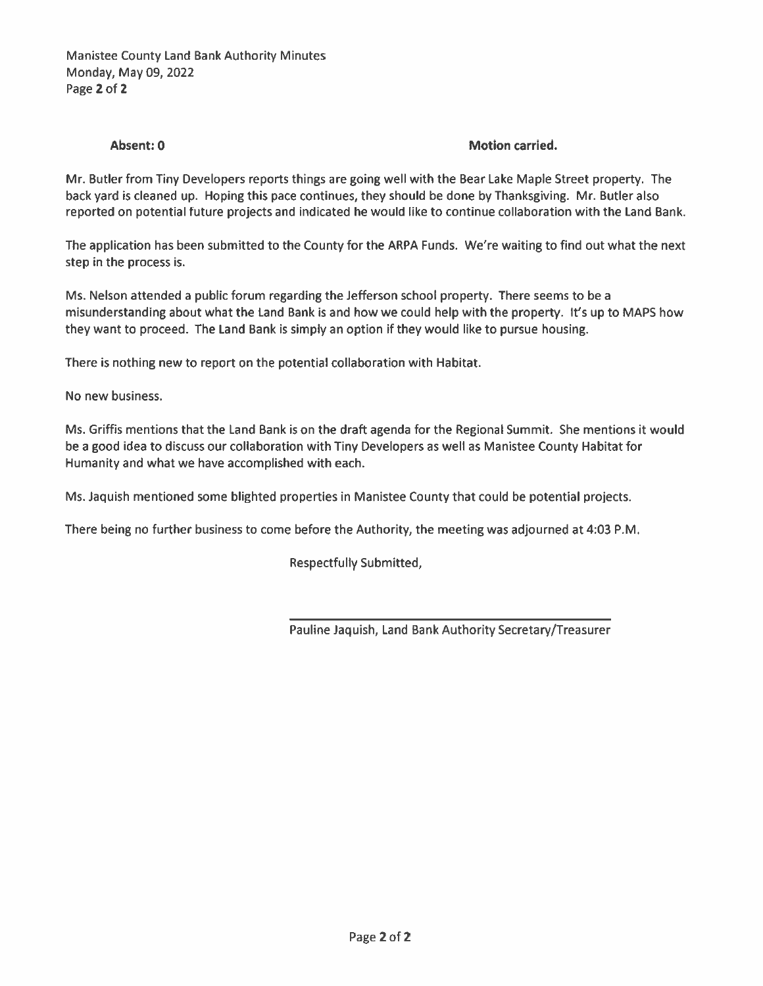### Absent: 0 **Motion carried.** Absent: 0

Mr. Butler from Tiny Developers reports things are going well with the Bear Lake Maple Street property. The back yard is cleaned up. Hoping this pace continues, they should be done by Thanksgiving. Mr. Butler also reported on potential future projects and indicated he would like to continue collaboration with the Land Bank.

The application has been submitted to the County for the ARPA Funds. We're waiting to find out what the next step in the process is.

Ms. Nelson attended <sup>a</sup> public forum regarding the Jefferson school property. There seems to be <sup>a</sup> misunderstanding about what the Land Bank is and how we could help with the property. It's up to MAPS how they want to proceed. The Land Bank is simply an option if they would like to pursue housing.

There is nothing new to repor<sup>t</sup> on the potential collaboration with Habitat.

No new business.

Ms. Griffis mentions that the Land Bank is on the draft agenda for the Regional Summit. She mentions it would be <sup>a</sup> good idea to discuss our collaboration with Tiny Developers as well as Manistee County Habitat for Humanity and what we have accomplished with each.

Ms. Jaquish mentioned some blighted properties in Manistee County that could be potential projects.

There being no further business to come before the Authority, the meeting was adjourned at 4:03 P.M.

Respectfully Submitted,

Pauline Jaquish, Land Bank Authority Secretary/Treasurer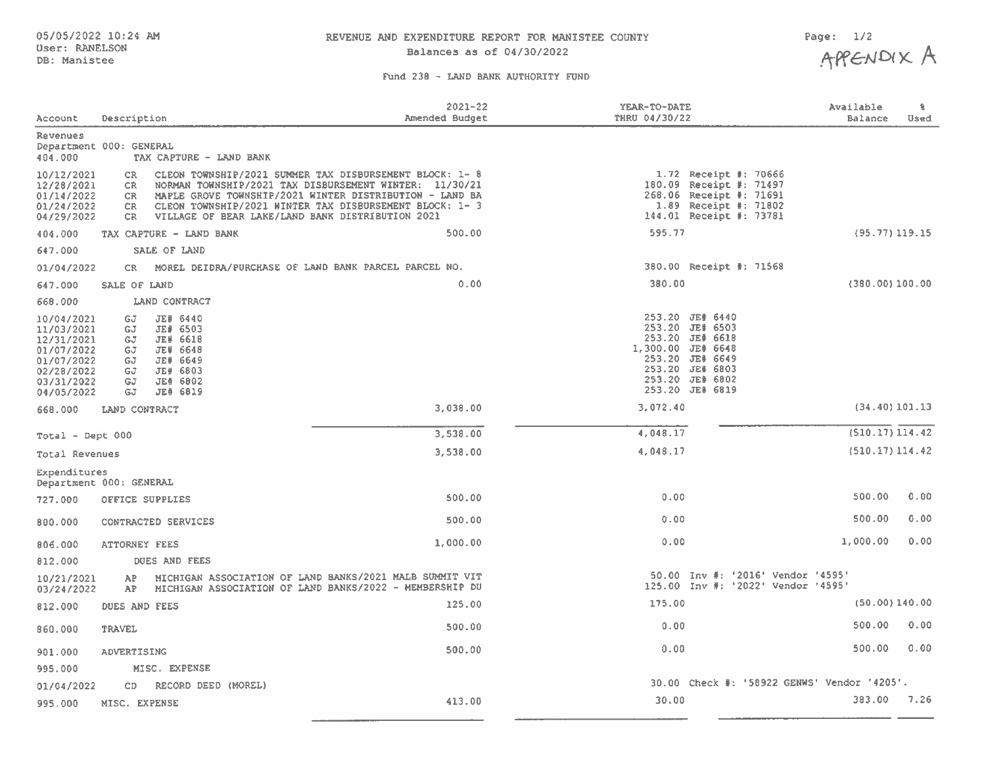# 05/05/2022 10:24 AM **REVENUE AND EXPENDITURE REPORT FOR MANISTEE** COUNTY Page: 1/2<br>User: RANELSON

#### Fund 238 - LAND BANK AUTHORITY FUND

| Account                                                                                                      | Description                                                                                                                                                                               | $2021 - 22$<br>Amended Budget                                                                                                                                                                                                          | YEAR-TO-DATE<br>THRU 04/30/22 | Available<br>Balance                                                                                                              | 鲁<br>Used |
|--------------------------------------------------------------------------------------------------------------|-------------------------------------------------------------------------------------------------------------------------------------------------------------------------------------------|----------------------------------------------------------------------------------------------------------------------------------------------------------------------------------------------------------------------------------------|-------------------------------|-----------------------------------------------------------------------------------------------------------------------------------|-----------|
| <b>Revenues</b><br>404.000                                                                                   | Department 000: GENERAL<br>TAX CAPTURE - LAND BANK                                                                                                                                        |                                                                                                                                                                                                                                        |                               |                                                                                                                                   |           |
| 10/12/2021<br>12/28/2021<br>01/14/2022<br>01/24/2022<br>04/29/2022                                           | CR.<br>CR.<br>CR.<br>CR.<br>VILLAGE OF BEAR LAKE/LAND BANK DISTRIBUTION 2021<br>CR.                                                                                                       | CLEON TOWNSHIP/2021 SUMMER TAX DISBURSEMENT BLOCK: 1- 8<br>NORMAN TOWNSHIP/2021 TAX DISBURSEMENT WINTER: 11/30/21<br>MAPLE GROVE TOWNSHIP/2021 WINTER DISTRIBUTION - LAND BA<br>CLEON TOWNSHIP/2021 WINTER TAX DISBURSEMENT BLOCK: 1-3 |                               | 1.72 Receipt #: 70666<br>180.09 Receipt #: 71497<br>268.06 Receipt #: 71691<br>1.89 Receipt #: 71802<br>144.01 Receipt #: 73781   |           |
| 404.000                                                                                                      | TAX CAPTURE - LAND BANK                                                                                                                                                                   | 500.00                                                                                                                                                                                                                                 | 595.77                        | $(95.77)$ 119.15                                                                                                                  |           |
| 647.000                                                                                                      | SALE OF LAND                                                                                                                                                                              |                                                                                                                                                                                                                                        |                               |                                                                                                                                   |           |
| 01/04/2022                                                                                                   | MOREL DEIDRA/PURCHASE OF LAND BANK PARCEL PARCEL NO.<br>CR.                                                                                                                               |                                                                                                                                                                                                                                        |                               | 380.00 Receipt #: 71568                                                                                                           |           |
| 647.000                                                                                                      | SALE OF LAND                                                                                                                                                                              | 0.00                                                                                                                                                                                                                                   | 380.00                        | $(380.00)$ 100.00                                                                                                                 |           |
| 668.000                                                                                                      | LAND CONTRACT                                                                                                                                                                             |                                                                                                                                                                                                                                        |                               |                                                                                                                                   |           |
| 10/04/2021<br>11/03/2021<br>12/31/2021<br>01/07/2022<br>01/07/2022<br>02/28/2022<br>03/31/2022<br>04/05/2022 | <b>JE# 6440</b><br>GJ.<br><b>JE# 6503</b><br>GJ.<br><b>JE# 6618</b><br>GJ.<br><b>JE# 6648</b><br>GJ<br>JE# 6649<br>GJ<br>JE# 6803<br>GJ<br><b>JE# 6802</b><br>GJ<br><b>JE# 6819</b><br>GJ |                                                                                                                                                                                                                                        | 1,300.00 JE# 6648             | 253.20 JE# 6440<br>253.20 JE# 6503<br>253.20 JE# 6618<br>253.20 JE# 6649<br>253.20 JE# 6803<br>253.20 JE# 6802<br>253.20 JE# 6819 |           |
| 668.000                                                                                                      | LAND CONTRACT                                                                                                                                                                             | 3,038.00                                                                                                                                                                                                                               | 3,072.40                      | $(34.40)$ 101.13                                                                                                                  |           |
| Total - Dept 000                                                                                             |                                                                                                                                                                                           | 3,538.00                                                                                                                                                                                                                               | 4,048.17                      | (510.17) 114.42                                                                                                                   |           |
| Total Revenues                                                                                               |                                                                                                                                                                                           | 3,538.00                                                                                                                                                                                                                               | 4,048.17                      | (510.17) 114.42                                                                                                                   |           |
| Expenditures                                                                                                 |                                                                                                                                                                                           |                                                                                                                                                                                                                                        |                               |                                                                                                                                   |           |
|                                                                                                              | Department 000: GENERAL                                                                                                                                                                   |                                                                                                                                                                                                                                        |                               |                                                                                                                                   |           |
| 727,000                                                                                                      | OFFICE SUPPLIES                                                                                                                                                                           | 500.00                                                                                                                                                                                                                                 | 0.00                          | 500.00                                                                                                                            | 0.00      |
| 800.000                                                                                                      | CONTRACTED SERVICES                                                                                                                                                                       | 500.00                                                                                                                                                                                                                                 | 0.00                          | 500.00                                                                                                                            | 0.00      |
| 806.000                                                                                                      | <b>ATTORNEY FEES</b>                                                                                                                                                                      | 1,000.00                                                                                                                                                                                                                               | 0.00                          | 1,000.00                                                                                                                          | 0.00      |
| 812.000                                                                                                      | DUES AND FEES                                                                                                                                                                             |                                                                                                                                                                                                                                        |                               |                                                                                                                                   |           |
| 10/21/2021<br>03/24/2022                                                                                     | AP<br>AP                                                                                                                                                                                  | MICHIGAN ASSOCIATION OF LAND BANKS/2021 MALB SUMMIT VIT<br>MICHIGAN ASSOCIATION OF LAND BANKS/2022 - MEMBERSHIP DU                                                                                                                     |                               | 50.00 Inv #: '2016' Vendor '4595'<br>125.00 Inv #: '2022' Vendor '4595'                                                           |           |
| 812.000                                                                                                      | <b>DUES AND FEES</b>                                                                                                                                                                      | 125.00                                                                                                                                                                                                                                 | 175.00                        | $(50.00)$ 140.00                                                                                                                  |           |
| 860.000                                                                                                      | <b>TRAVEL</b>                                                                                                                                                                             | 500.00                                                                                                                                                                                                                                 | 0.00                          | 500.00                                                                                                                            | 0.00      |
| 901.000                                                                                                      | ADVERTISING                                                                                                                                                                               | 500.00                                                                                                                                                                                                                                 | 0.00                          | 500.00                                                                                                                            | 0.00      |
| 995.000                                                                                                      | MISC. EXPENSE                                                                                                                                                                             |                                                                                                                                                                                                                                        |                               |                                                                                                                                   |           |
| 01/04/2022                                                                                                   | CD.<br>RECORD DEED (MOREL)                                                                                                                                                                |                                                                                                                                                                                                                                        |                               | 30.00 Check #: '58922 GENWS' Vendor '4205'.                                                                                       |           |
| 995,000                                                                                                      | MISC. EXPENSE                                                                                                                                                                             | 413.00                                                                                                                                                                                                                                 | 30.00                         | 383.00                                                                                                                            | 7.26      |
|                                                                                                              |                                                                                                                                                                                           |                                                                                                                                                                                                                                        |                               |                                                                                                                                   |           |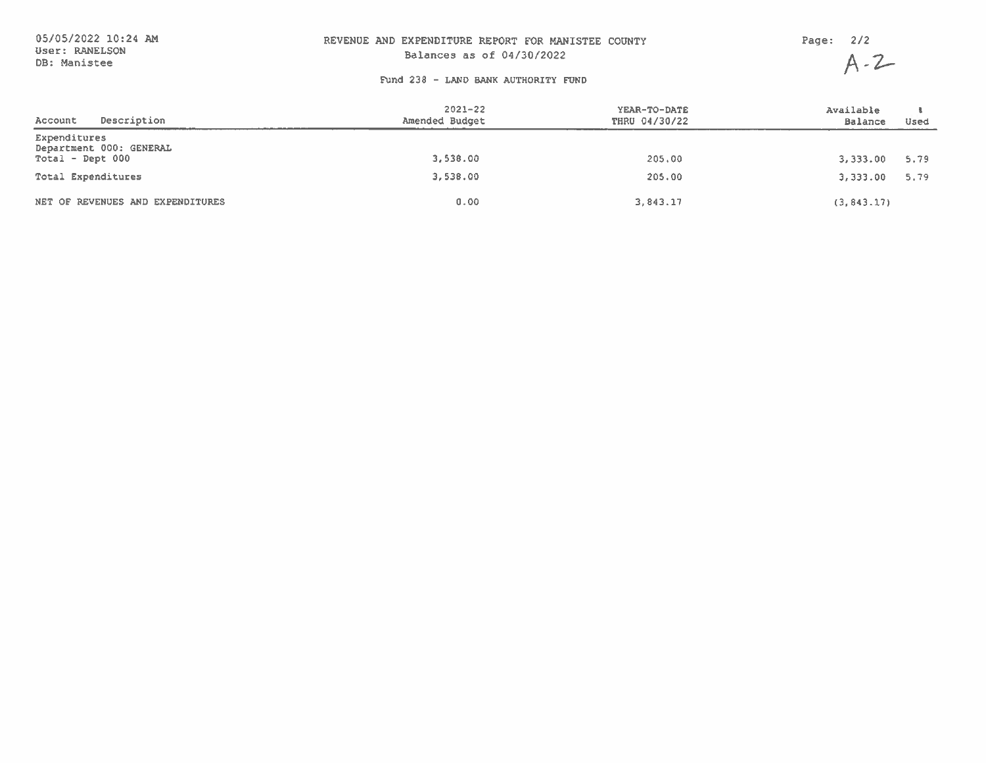| 05/05/2022 10:24 AM            | REVENUE AND EXPENDITURE REPORT FOR MANISTEE COUNTY | Page: $2/2$ |         |
|--------------------------------|----------------------------------------------------|-------------|---------|
| User: RANELSON<br>DB: Manistee | Balances as of 04/30/2022                          |             | $A - 2$ |
|                                | Fund 238 - LAND BANK AUTHORITY FUND                |             |         |

| Description<br>Account                                        | $2021 - 22$<br>Amended Budget | YEAR-TO-DATE<br>THRU 04/30/22 | Available<br><b>Balance</b><br>Used |
|---------------------------------------------------------------|-------------------------------|-------------------------------|-------------------------------------|
| Expenditures<br>Department 000: GENERAL<br>$Total - Dept 000$ | 3,538.00                      | 205.00                        | 3,333.00<br>5.79                    |
| Total Expenditures                                            | 3,538.00                      | 205.00                        | 3,333.00<br>5.79                    |
| NET OF REVENUES AND EXPENDITURES                              | 0.00                          | 3.843.17                      | (3, 843.17)                         |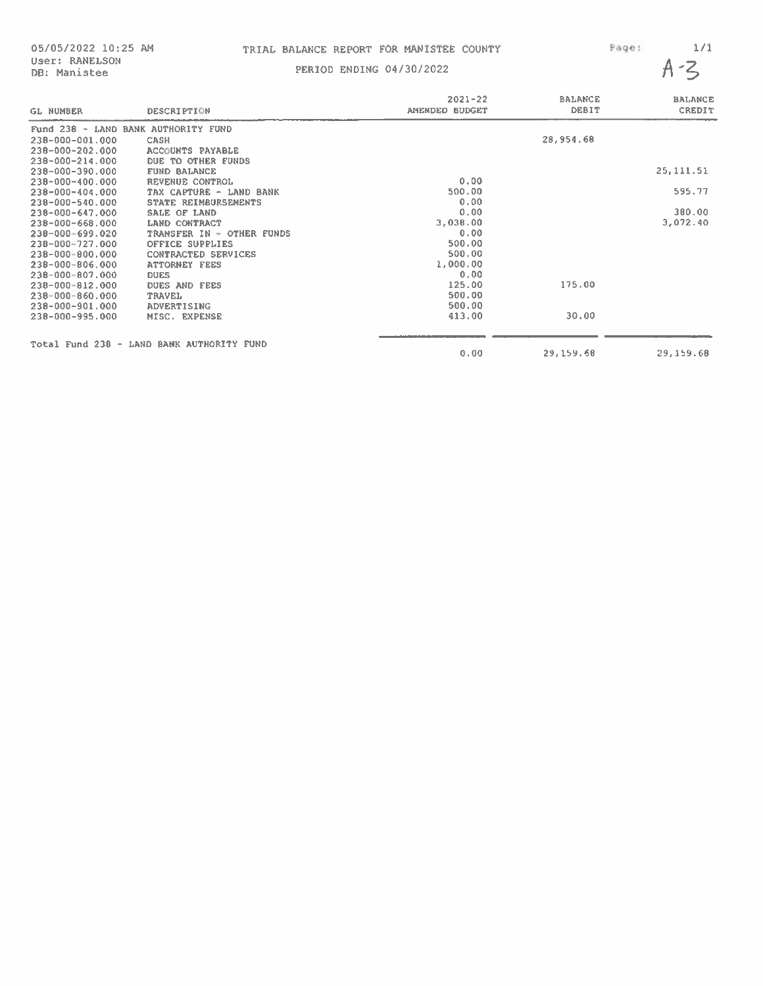### 05/05/2022 10:25 AM TRIAL BALANCE REPORT FOR MANISTEE COUNTY Page: 1/1

|                                     |                                           | $2021 - 22$    | <b>BALANCE</b> | <b>BALANCE</b> |
|-------------------------------------|-------------------------------------------|----------------|----------------|----------------|
| <b>GL NUMBER</b>                    | <b>DESCRIPTION</b>                        | AMENDED BUDGET | DEBIT          | <b>CREDIT</b>  |
| Fund 238 - LAND BANK AUTHORITY FUND |                                           |                |                |                |
| 238-000-001.000                     | CASH                                      |                | 28,954.68      |                |
| $238 - 000 - 202.000$               | <b>ACCOUNTS PAYABLE</b>                   |                |                |                |
| $238 - 000 - 214.000$               | DUE TO OTHER FUNDS                        |                |                |                |
| 238-000-390.000                     | <b>FUND BALANCE</b>                       |                |                | 25, 111, 51    |
| $238 - 000 - 400.000$               | <b>REVENUE CONTROL</b>                    | 0.00           |                |                |
| $238 - 000 - 404.000$               | TAX CAPTURE - LAND BANK                   | 500.00         |                | 595,77         |
| 238-000-540.000                     | STATE REIMBURSEMENTS                      | 0.00           |                |                |
| $238 - 000 - 647.000$               | SALE OF LAND                              | 0.00           |                | 380.00         |
| $238 - 000 - 668.000$               | LAND CONTRACT                             | 3,038.00       |                | 3,072.40       |
| $238 - 000 - 699.020$               | TRANSFER IN - OTHER FUNDS                 | 0.00           |                |                |
| 238-000-727.000                     | OFFICE SUPPLIES                           | 500.00         |                |                |
| 238-000-800.000                     | CONTRACTED SERVICES                       | 500.00         |                |                |
| $238 - 000 - 806.000$               | <b>ATTORNEY FEES</b>                      | 1,000.00       |                |                |
| $238 - 000 - 807.000$               | <b>DUES</b>                               | 0.00           |                |                |
| $238 - 000 - 812.000$               | <b>DUES AND FEES</b>                      | 125.00         | 175.00         |                |
| $238 - 000 - 860,000$               | <b>TRAVEL</b>                             | 500.00         |                |                |
| $238 - 000 - 901,000$               | ADVERTISING                               | 500.00         |                |                |
| $238 - 000 - 995.000$               | MISC. EXPENSE                             | 413.00         | 30.00          |                |
|                                     | Total Fund 238 - LAND BANK AUTHORITY FUND |                |                |                |
|                                     |                                           | 0.00           | 29,159.68      | 29, 159.68     |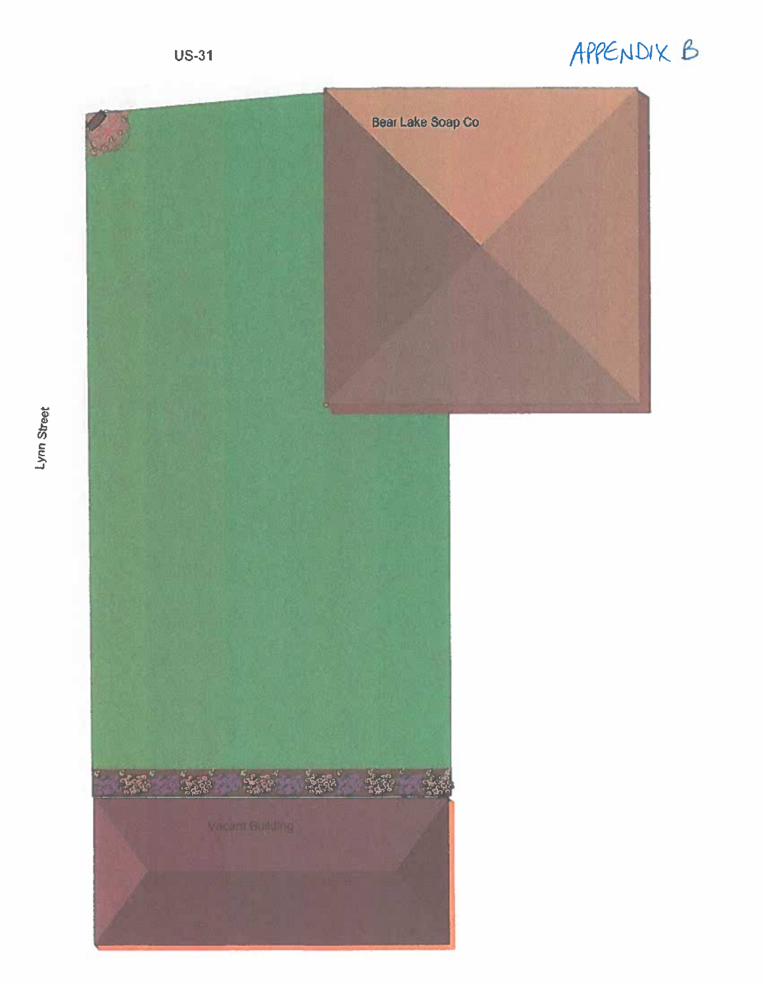# APPENDIX B

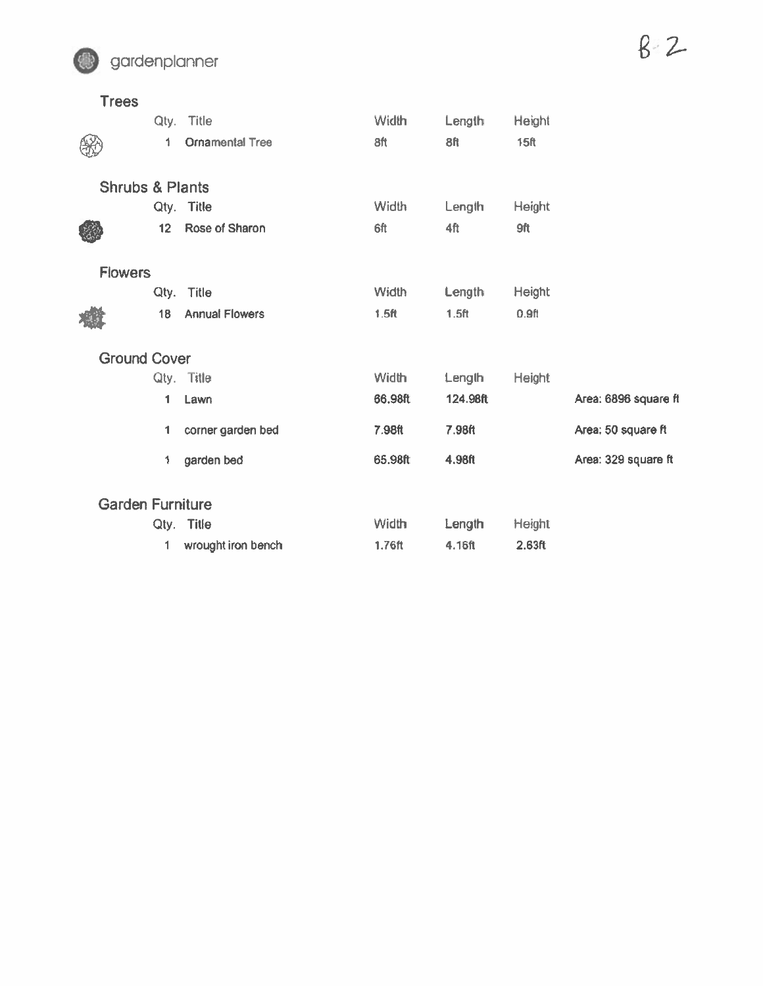

| <b>Trees</b>               |                 |                        |                  |                   |                   |                      |
|----------------------------|-----------------|------------------------|------------------|-------------------|-------------------|----------------------|
|                            |                 | Qty. Title             | Width            | Length            | Height            |                      |
|                            | 1               | <b>Ornamental Tree</b> | 8ft              | <b>8ft</b>        | <b>15ft</b>       |                      |
| <b>Shrubs &amp; Plants</b> |                 |                        |                  |                   |                   |                      |
|                            |                 | Qty. Title             | Width            | Length            | <b>Height</b>     |                      |
|                            | 12 <sup>2</sup> | Rose of Sharon         | 6ft              | 4ft               | 9ft               |                      |
| <b>Flowers</b>             |                 |                        |                  |                   |                   |                      |
|                            |                 | Qty. Title             | Width            | Length            | <b>Height</b>     |                      |
|                            | 18              | <b>Annual Flowers</b>  | 1.5 <sub>f</sub> | 1.5 <sub>ft</sub> | 0.9 <sub>ft</sub> |                      |
| <b>Ground Cover</b>        |                 |                        |                  |                   |                   |                      |
|                            |                 | Qty. Title             | <b>Width</b>     | Length            | <b>Height</b>     |                      |
|                            | 1               | Lawn                   | 66.98ft          | 124,98ft          |                   | Area: 6896 square ft |
|                            | 1               | corner garden bed      | 7.98ft           | 7.98ft            |                   | Area: 50 square ft   |
|                            | 1               | garden bed             | 65.98ft          | 4.98ft            |                   | Area: 329 square ft  |
| <b>Garden Furniture</b>    |                 |                        |                  |                   |                   |                      |
|                            |                 | Qty. Title             | Width            | Length            | Height            |                      |
|                            | 1               | wrought iron bench     | 1.76ft           | 4.16ft            | 2.63ft            |                      |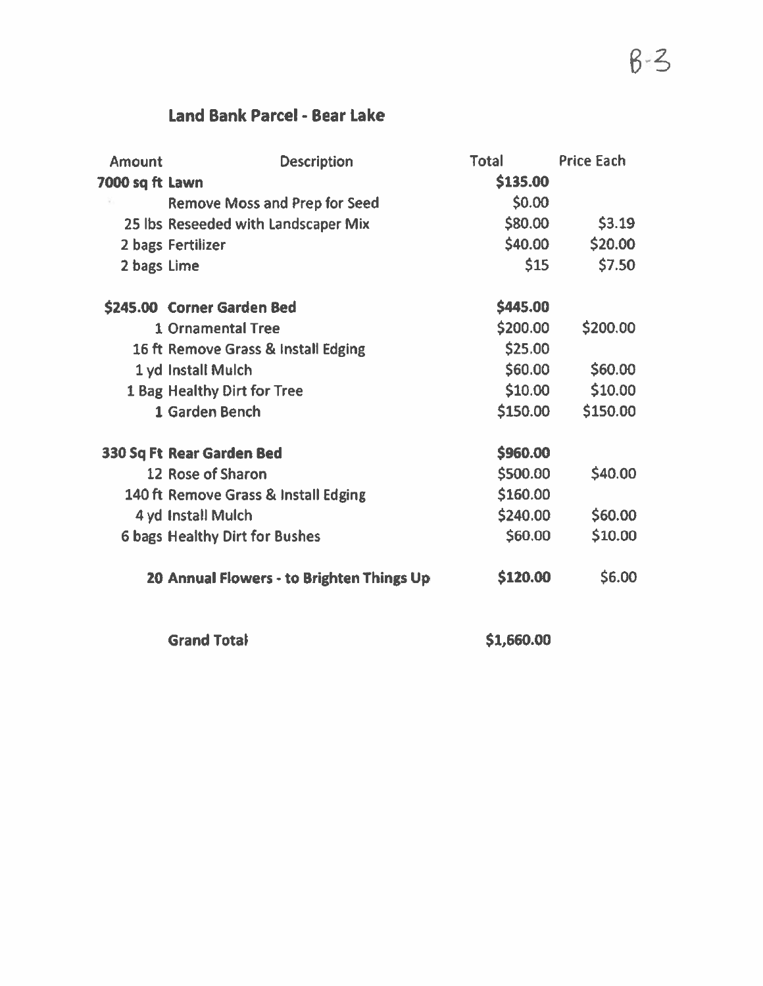## Land Bank Parcel - Bear Lake

| <b>Amount</b>   | <b>Description</b>                        | <b>Total</b> | <b>Price Each</b> |
|-----------------|-------------------------------------------|--------------|-------------------|
| 7000 sq ft Lawn |                                           | \$135.00     |                   |
|                 | <b>Remove Moss and Prep for Seed</b>      | \$0.00       |                   |
|                 | 25 lbs Reseeded with Landscaper Mix       | \$80.00      | \$3.19            |
|                 | 2 bags Fertilizer                         | \$40.00      | \$20.00           |
| 2 bags Lime     |                                           | \$15         | \$7.50            |
|                 | \$245.00 Corner Garden Bed                | \$445.00     |                   |
|                 | <b>1 Ornamental Tree</b>                  | \$200.00     | \$200.00          |
|                 | 16 ft Remove Grass & Install Edging       | \$25.00      |                   |
|                 | 1 yd Install Mulch                        | \$60.00      | \$60.00           |
|                 | 1 Bag Healthy Dirt for Tree               | \$10.00      | \$10.00           |
|                 | 1 Garden Bench                            | \$150.00     | \$150.00          |
|                 | 330 Sq Ft Rear Garden Bed                 | \$960.00     |                   |
|                 | 12 Rose of Sharon                         | \$500.00     | \$40.00           |
|                 | 140 ft Remove Grass & Install Edging      | \$160.00     |                   |
|                 | 4 yd Install Mulch                        | \$240.00     | \$60.00           |
|                 | <b>6 bags Healthy Dirt for Bushes</b>     | \$60.00      | \$10.00           |
|                 | 20 Annual Flowers - to Brighten Things Up | \$120.00     | \$6.00            |
|                 | <b>Grand Total</b>                        | \$1,660.00   |                   |